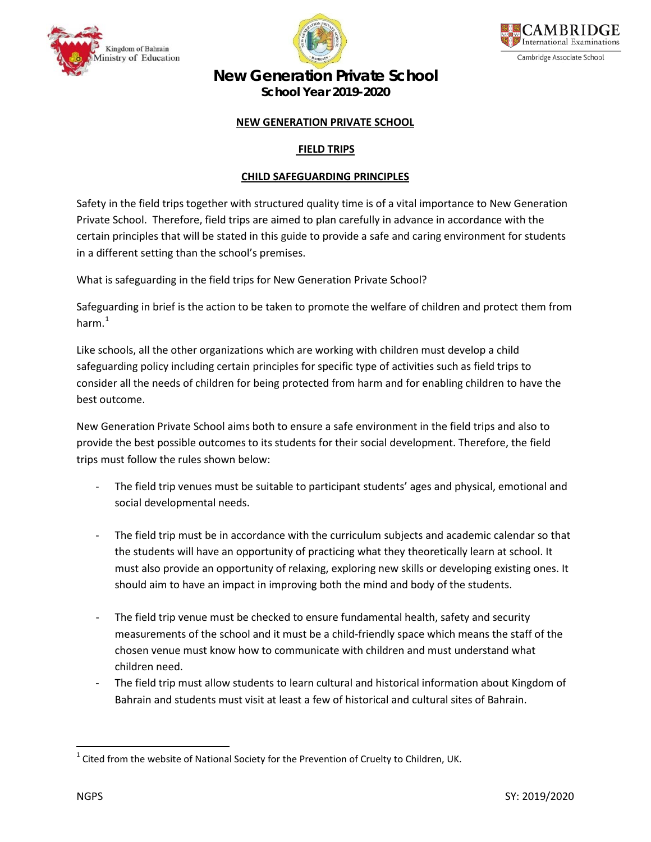





# **New Generation Private School**

**School Year 2019-2020**

### **NEW GENERATION PRIVATE SCHOOL**

## **FIELD TRIPS**

#### **CHILD SAFEGUARDING PRINCIPLES**

Safety in the field trips together with structured quality time is of a vital importance to New Generation Private School. Therefore, field trips are aimed to plan carefully in advance in accordance with the certain principles that will be stated in this guide to provide a safe and caring environment for students in a different setting than the school's premises.

What is safeguarding in the field trips for New Generation Private School?

Safeguarding in brief is the action to be taken to promote the welfare of children and protect them from harm. [1](#page-0-0)

Like schools, all the other organizations which are working with children must develop a child safeguarding policy including certain principles for specific type of activities such as field trips to consider all the needs of children for being protected from harm and for enabling children to have the best outcome.

New Generation Private School aims both to ensure a safe environment in the field trips and also to provide the best possible outcomes to its students for their social development. Therefore, the field trips must follow the rules shown below:

- The field trip venues must be suitable to participant students' ages and physical, emotional and social developmental needs.
- The field trip must be in accordance with the curriculum subjects and academic calendar so that the students will have an opportunity of practicing what they theoretically learn at school. It must also provide an opportunity of relaxing, exploring new skills or developing existing ones. It should aim to have an impact in improving both the mind and body of the students.
- The field trip venue must be checked to ensure fundamental health, safety and security measurements of the school and it must be a child-friendly space which means the staff of the chosen venue must know how to communicate with children and must understand what children need.
- The field trip must allow students to learn cultural and historical information about Kingdom of Bahrain and students must visit at least a few of historical and cultural sites of Bahrain.

<span id="page-0-0"></span> $1$  Cited from the website of National Society for the Prevention of Cruelty to Children, UK.